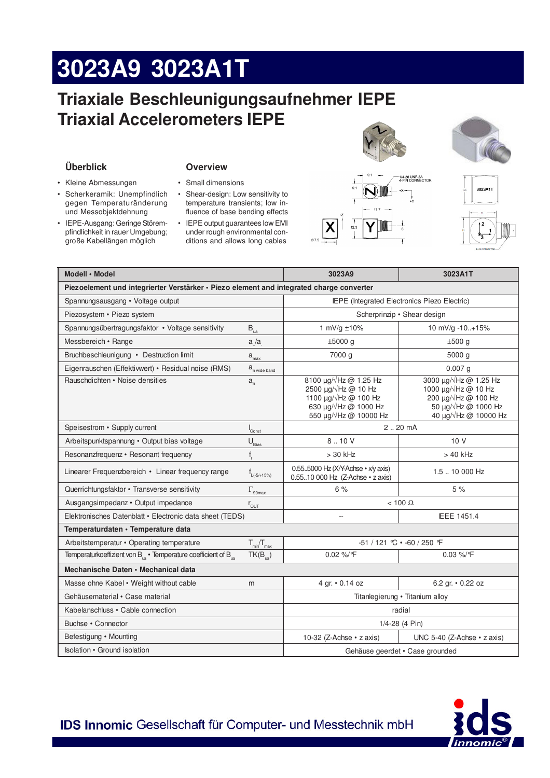# 3023A9 3023A1T

# Triaxiale Beschleunigungsaufnehmer IEPE **Triaxial Accelerometers IEPE**

### Überblick

- Kleine Abmessungen
- · Scherkeramik: Unempfindlich gegen Temperaturänderung und Messobjektdehnung
- IEPE-Ausgang: Geringe Störempfindlichkeit in rauer Umgebung; große Kabellängen möglich

### **Overview**

- · Small dimensions
- Shear-design: Low sensitivity to temperature transients; low influence of base bending effects
- IEPE output guarantees low EMI under rough environmental conditions and allows long cables



14-28 UNF-2A<br>I-PIN CONNECTOR





| Modell · Model                                                                           |                                 | 3023A9                                                                                                                                                          | 3023A1T                                                                                                                                   |
|------------------------------------------------------------------------------------------|---------------------------------|-----------------------------------------------------------------------------------------------------------------------------------------------------------------|-------------------------------------------------------------------------------------------------------------------------------------------|
| Piezoelement und integrierter Verstärker · Piezo element and integrated charge converter |                                 |                                                                                                                                                                 |                                                                                                                                           |
| Spannungsausgang • Voltage output                                                        |                                 | IEPE (Integrated Electronics Piezo Electric)                                                                                                                    |                                                                                                                                           |
| Piezosystem • Piezo system                                                               |                                 | Scherprinzip • Shear design                                                                                                                                     |                                                                                                                                           |
| Spannungsübertragungsfaktor • Voltage sensitivity                                        | $B_{\rm ua}$                    | 1 mV/g ±10%                                                                                                                                                     | 10 mV/g -10+15%                                                                                                                           |
| Messbereich • Range                                                                      | a/a                             | $±5000$ g                                                                                                                                                       | $±500$ g                                                                                                                                  |
| Bruchbeschleunigung • Destruction limit                                                  | $\mathtt{a}_{\max}$             | 7000 g                                                                                                                                                          | 5000 g                                                                                                                                    |
| Eigenrauschen (Effektivwert) • Residual noise (RMS)                                      | a <sub>n wide band</sub>        |                                                                                                                                                                 | $0.007$ g                                                                                                                                 |
| Rauschdichten • Noise densities                                                          | $a_{n}$                         | 8100 µg/√Hz @ 1.25 Hz<br>2500 $\mu$ g/ $\sqrt{Hz}$ @ 10 Hz<br>1100 $\mu$ g/ $\sqrt{Hz}$ @ 100 Hz<br>630 $\mu$ g/ $\sqrt{Hz}$ @ 1000 Hz<br>550 µg/√Hz @ 10000 Hz | 3000 µg/√Hz @ 1.25 Hz<br>1000 $\mu$ g/ $\sqrt{Hz}$ @ 10 Hz<br>200 µg/√Hz @ 100 Hz<br>50 μg/ Hz @ 1000 Hz<br>40 μg/ $\sqrt{Hz}$ @ 10000 Hz |
| Speisestrom • Supply current                                                             | Const                           | $2.20 \text{ mA}$                                                                                                                                               |                                                                                                                                           |
| Arbeitspunktspannung · Output bias voltage                                               | $U_{\text{Bias}}$               | 8.10V                                                                                                                                                           | 10V                                                                                                                                       |
| Resonanzfrequenz • Resonant frequency                                                    | $f_r$                           | $> 30$ kHz                                                                                                                                                      | $>40$ kHz                                                                                                                                 |
| Linearer Frequenzbereich • Linear frequency range                                        | $f_{L(-5/+15%)}$                | 0.55.5000 Hz (X/Y-Achse • x/y axis)<br>0.5510 000 Hz (Z-Achse · z axis)                                                                                         | 1.5  10 000 Hz                                                                                                                            |
| Querrichtungsfaktor · Transverse sensitivity                                             | $\Gamma_{\rm 90max}$            | 6%                                                                                                                                                              | 5%                                                                                                                                        |
| Ausgangsimpedanz · Output impedance                                                      | $r_{\text{OUT}}$                | $< 100 \Omega$                                                                                                                                                  |                                                                                                                                           |
| Elektronisches Datenblatt · Electronic data sheet (TEDS)                                 |                                 | Ξ.                                                                                                                                                              | IEEE 1451.4                                                                                                                               |
| Temperaturdaten · Temperature data                                                       |                                 |                                                                                                                                                                 |                                                                                                                                           |
| Arbeitstemperatur • Operating temperature                                                | $T_{\text{min}}/T_{\text{max}}$ | $-51/121$ °C $\cdot$ -60 / 250 °F                                                                                                                               |                                                                                                                                           |
| Temperaturkoeffizient von B <sub>is</sub> · Temperature coefficient of B <sub>is</sub>   | $TK(B_{\text{ua}})$             | 0.02 %/F                                                                                                                                                        | $0.03\%$ /°F                                                                                                                              |
| Mechanische Daten • Mechanical data                                                      |                                 |                                                                                                                                                                 |                                                                                                                                           |
| Masse ohne Kabel • Weight without cable                                                  | m                               | 4 gr. • 0.14 oz                                                                                                                                                 | 6.2 gr. • 0.22 oz                                                                                                                         |
| Gehäusematerial • Case material                                                          |                                 | Titanlegierung • Titanium alloy                                                                                                                                 |                                                                                                                                           |
| Kabelanschluss · Cable connection                                                        |                                 | radial                                                                                                                                                          |                                                                                                                                           |
| Buchse • Connector                                                                       |                                 | 1/4-28 (4 Pin)                                                                                                                                                  |                                                                                                                                           |
| Befestigung • Mounting                                                                   |                                 | 10-32 (Z-Achse $\cdot$ z axis)                                                                                                                                  | UNC 5-40 (Z-Achse · z axis)                                                                                                               |
| <b>Isolation • Ground isolation</b>                                                      |                                 | Gehäuse geerdet • Case grounded                                                                                                                                 |                                                                                                                                           |